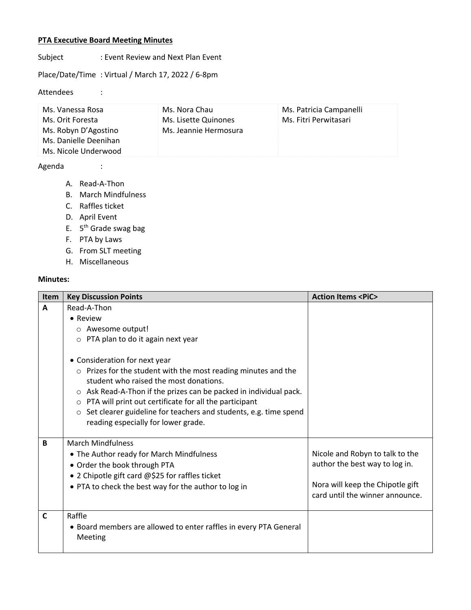## **PTA Executive Board Meeting Minutes**

Subject : Event Review and Next Plan Event

Place/Date/Time : Virtual / March 17, 2022 / 6-8pm

Attendees :

| Ms. Vanessa Rosa      | Ms. Nora Chau         | Ms. Patricia Campanelli |
|-----------------------|-----------------------|-------------------------|
| Ms. Orit Foresta      | Ms. Lisette Quinones  | Ms. Fitri Perwitasari   |
| Ms. Robyn D'Agostino  | Ms. Jeannie Hermosura |                         |
| Ms. Danielle Deenihan |                       |                         |
| Ms. Nicole Underwood  |                       |                         |

## Agenda :

- A. Read-A-Thon
- B. March Mindfulness
- C. Raffles ticket
- D. April Event
- E. 5th Grade swag bag
- F. PTA by Laws
- G. From SLT meeting
- H. Miscellaneous

## **Minutes:**

| <b>Item</b> | <b>Key Discussion Points</b>                                                                                                                                                                                                                                                                                                                                                                              | <b>Action Items <pic></pic></b>                                                                                                          |
|-------------|-----------------------------------------------------------------------------------------------------------------------------------------------------------------------------------------------------------------------------------------------------------------------------------------------------------------------------------------------------------------------------------------------------------|------------------------------------------------------------------------------------------------------------------------------------------|
| A           | Read-A-Thon<br>• Review<br>o Awesome output!<br>$\circ$ PTA plan to do it again next year                                                                                                                                                                                                                                                                                                                 |                                                                                                                                          |
|             | • Consideration for next year<br>o Prizes for the student with the most reading minutes and the<br>student who raised the most donations.<br>o Ask Read-A-Thon if the prizes can be packed in individual pack.<br>PTA will print out certificate for all the participant<br>$\circ$<br>Set clearer guideline for teachers and students, e.g. time spend<br>$\circ$<br>reading especially for lower grade. |                                                                                                                                          |
| B           | <b>March Mindfulness</b><br>• The Author ready for March Mindfulness<br>• Order the book through PTA<br>• 2 Chipotle gift card @\$25 for raffles ticket<br>• PTA to check the best way for the author to log in                                                                                                                                                                                           | Nicole and Robyn to talk to the<br>author the best way to log in.<br>Nora will keep the Chipotle gift<br>card until the winner announce. |
| $\mathbf C$ | Raffle<br>• Board members are allowed to enter raffles in every PTA General<br>Meeting                                                                                                                                                                                                                                                                                                                    |                                                                                                                                          |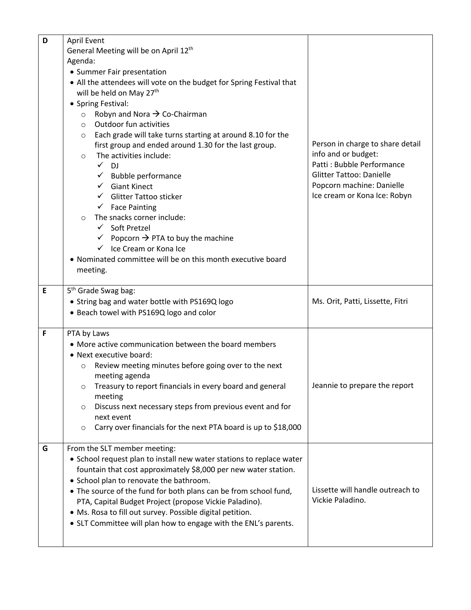| D | <b>April Event</b>                                                    |                                  |
|---|-----------------------------------------------------------------------|----------------------------------|
|   | General Meeting will be on April 12 <sup>th</sup>                     |                                  |
|   | Agenda:                                                               |                                  |
|   | • Summer Fair presentation                                            |                                  |
|   | • All the attendees will vote on the budget for Spring Festival that  |                                  |
|   | will be held on May 27 <sup>th</sup>                                  |                                  |
|   | • Spring Festival:                                                    |                                  |
|   | Robyn and Nora $\rightarrow$ Co-Chairman<br>$\circ$                   |                                  |
|   | Outdoor fun activities<br>$\circ$                                     |                                  |
|   | Each grade will take turns starting at around 8.10 for the<br>$\circ$ |                                  |
|   | first group and ended around 1.30 for the last group.                 | Person in charge to share detail |
|   | The activities include:<br>$\circ$                                    | info and or budget:              |
|   | $\checkmark$ DJ                                                       | Patti: Bubble Performance        |
|   | $\checkmark$ Bubble performance                                       | <b>Glitter Tattoo: Danielle</b>  |
|   | $\checkmark$ Giant Kinect                                             | Popcorn machine: Danielle        |
|   | <b>Glitter Tattoo sticker</b>                                         | Ice cream or Kona Ice: Robyn     |
|   | $\checkmark$ Face Painting                                            |                                  |
|   | The snacks corner include:<br>$\Omega$                                |                                  |
|   | $\checkmark$ Soft Pretzel                                             |                                  |
|   | $\checkmark$ Popcorn $\Rightarrow$ PTA to buy the machine             |                                  |
|   | $\checkmark$ Ice Cream or Kona Ice                                    |                                  |
|   | • Nominated committee will be on this month executive board           |                                  |
|   | meeting.                                                              |                                  |
|   |                                                                       |                                  |
| E | 5 <sup>th</sup> Grade Swag bag:                                       |                                  |
|   | • String bag and water bottle with PS169Q logo                        | Ms. Orit, Patti, Lissette, Fitri |
|   | • Beach towel with PS169Q logo and color                              |                                  |
| F | PTA by Laws                                                           |                                  |
|   | • More active communication between the board members                 |                                  |
|   | • Next executive board:                                               |                                  |
|   | Review meeting minutes before going over to the next<br>$\circ$       |                                  |
|   | meeting agenda                                                        |                                  |
|   | Treasury to report financials in every board and general<br>O         | Jeannie to prepare the report    |
|   | meeting                                                               |                                  |
|   | Discuss next necessary steps from previous event and for<br>O         |                                  |
|   | next event                                                            |                                  |
|   | Carry over financials for the next PTA board is up to \$18,000<br>O   |                                  |
|   |                                                                       |                                  |
| G | From the SLT member meeting:                                          |                                  |
|   | • School request plan to install new water stations to replace water  |                                  |
|   | fountain that cost approximately \$8,000 per new water station.       |                                  |
|   | • School plan to renovate the bathroom.                               |                                  |
|   | • The source of the fund for both plans can be from school fund,      | Lissette will handle outreach to |
|   | PTA, Capital Budget Project (propose Vickie Paladino).                | Vickie Paladino.                 |
|   | • Ms. Rosa to fill out survey. Possible digital petition.             |                                  |
|   | • SLT Committee will plan how to engage with the ENL's parents.       |                                  |
|   |                                                                       |                                  |
|   |                                                                       |                                  |